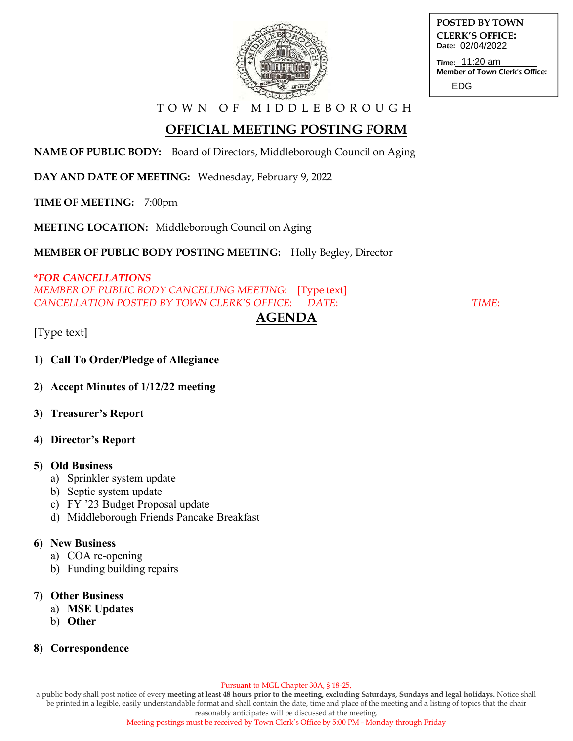

**POSTED BY TOWN CLERK'S OFFICE:** Date: 02/04/2022

Time: 11:20 am Member of Town Clerk's Office: EDG

T O W N O F M I D D L E B O R O U G H

# **OFFICIAL MEETING POSTING FORM**

**NAME OF PUBLIC BODY:** Board of Directors, Middleborough Council on Aging

**DAY AND DATE OF MEETING:** Wednesday, February 9, 2022

**TIME OF MEETING:** 7:00pm

**MEETING LOCATION:** Middleborough Council on Aging

**MEMBER OF PUBLIC BODY POSTING MEETING:** Holly Begley, Director

**\****FOR CANCELLATIONS MEMBER OF PUBLIC BODY CANCELLING MEETING*: [Type text] *CANCELLATION POSTED BY TOWN CLERK'S OFFICE*: *DATE*: *TIME*:

# **AGENDA**

[Type text]

- **1) Call To Order/Pledge of Allegiance**
- **2) Accept Minutes of 1/12/22 meeting**
- **3) Treasurer's Report**
- **4) Director's Report**

### **5) Old Business**

- a) Sprinkler system update
- b) Septic system update
- c) FY '23 Budget Proposal update
- d) Middleborough Friends Pancake Breakfast

## **6) New Business**

- a) COA re-opening
- b) Funding building repairs

### **7) Other Business**

- a) **MSE Updates**
- b) **Other**
- **8) Correspondence**

a public body shall post notice of every **meeting at least 48 hours prior to the meeting, excluding Saturdays, Sundays and legal holidays.** Notice shall be printed in a legible, easily understandable format and shall contain the date, time and place of the meeting and a listing of topics that the chair

reasonably anticipates will be discussed at the meeting.